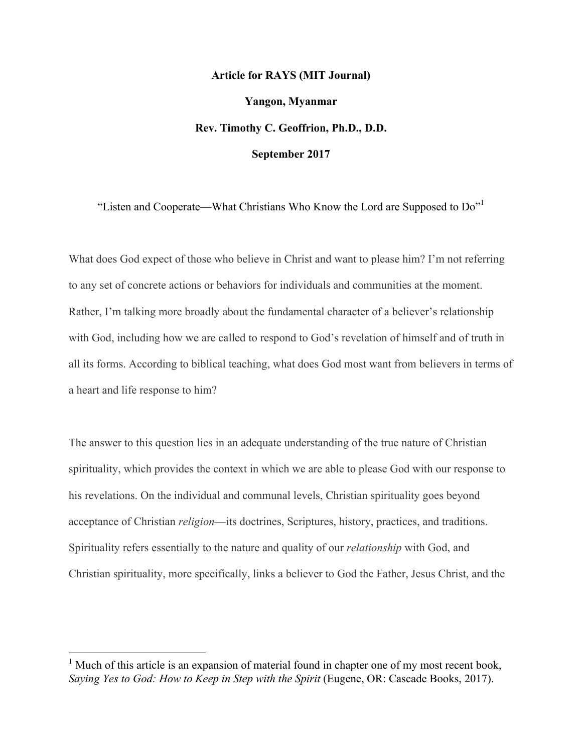# **Article for RAYS (MIT Journal) Yangon, Myanmar Rev. Timothy C. Geoffrion, Ph.D., D.D. September 2017**

"Listen and Cooperate—What Christians Who Know the Lord are Supposed to  $Do''$ <sup>1</sup>

What does God expect of those who believe in Christ and want to please him? I'm not referring to any set of concrete actions or behaviors for individuals and communities at the moment. Rather, I'm talking more broadly about the fundamental character of a believer's relationship with God, including how we are called to respond to God's revelation of himself and of truth in all its forms. According to biblical teaching, what does God most want from believers in terms of a heart and life response to him?

The answer to this question lies in an adequate understanding of the true nature of Christian spirituality, which provides the context in which we are able to please God with our response to his revelations. On the individual and communal levels, Christian spirituality goes beyond acceptance of Christian *religion*—its doctrines, Scriptures, history, practices, and traditions. Spirituality refers essentially to the nature and quality of our *relationship* with God, and Christian spirituality, more specifically, links a believer to God the Father, Jesus Christ, and the

 $<sup>1</sup>$  Much of this article is an expansion of material found in chapter one of my most recent book.</sup> *Saying Yes to God: How to Keep in Step with the Spirit* (Eugene, OR: Cascade Books, 2017).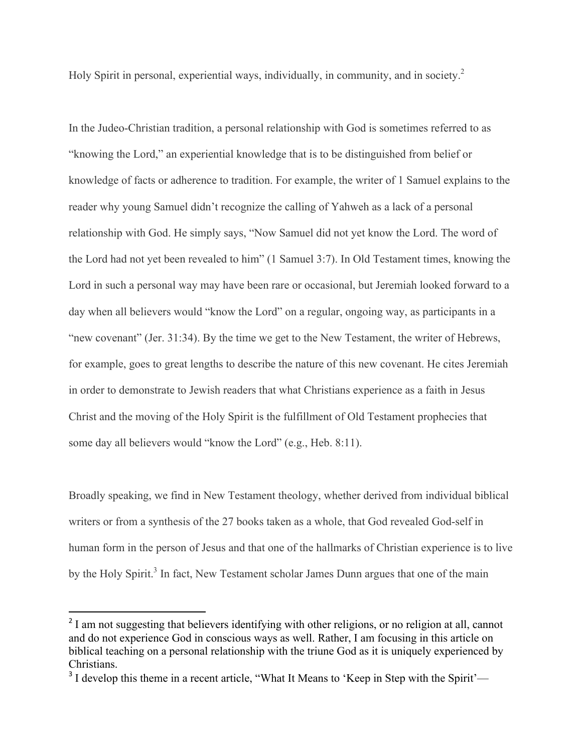Holy Spirit in personal, experiential ways, individually, in community, and in society.<sup>2</sup>

In the Judeo-Christian tradition, a personal relationship with God is sometimes referred to as "knowing the Lord," an experiential knowledge that is to be distinguished from belief or knowledge of facts or adherence to tradition. For example, the writer of 1 Samuel explains to the reader why young Samuel didn't recognize the calling of Yahweh as a lack of a personal relationship with God. He simply says, "Now Samuel did not yet know the Lord. The word of the Lord had not yet been revealed to him" (1 Samuel 3:7). In Old Testament times, knowing the Lord in such a personal way may have been rare or occasional, but Jeremiah looked forward to a day when all believers would "know the Lord" on a regular, ongoing way, as participants in a "new covenant" (Jer. 31:34). By the time we get to the New Testament, the writer of Hebrews, for example, goes to great lengths to describe the nature of this new covenant. He cites Jeremiah in order to demonstrate to Jewish readers that what Christians experience as a faith in Jesus Christ and the moving of the Holy Spirit is the fulfillment of Old Testament prophecies that some day all believers would "know the Lord" (e.g., Heb. 8:11).

Broadly speaking, we find in New Testament theology, whether derived from individual biblical writers or from a synthesis of the 27 books taken as a whole, that God revealed God-self in human form in the person of Jesus and that one of the hallmarks of Christian experience is to live by the Holy Spirit.<sup>3</sup> In fact, New Testament scholar James Dunn argues that one of the main

 

<sup>&</sup>lt;sup>2</sup> I am not suggesting that believers identifying with other religions, or no religion at all, cannot and do not experience God in conscious ways as well. Rather, I am focusing in this article on biblical teaching on a personal relationship with the triune God as it is uniquely experienced by Christians.

<sup>&</sup>lt;sup>3</sup> I develop this theme in a recent article, "What It Means to 'Keep in Step with the Spirit'—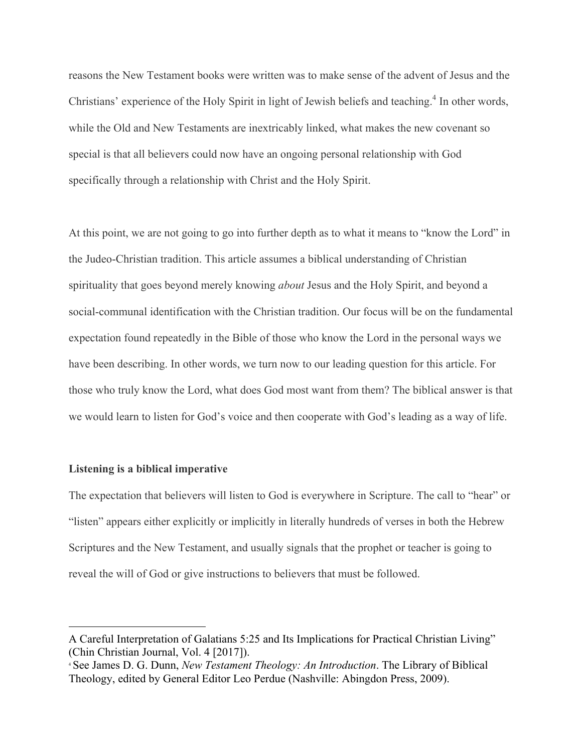reasons the New Testament books were written was to make sense of the advent of Jesus and the Christians' experience of the Holy Spirit in light of Jewish beliefs and teaching. $4$  In other words, while the Old and New Testaments are inextricably linked, what makes the new covenant so special is that all believers could now have an ongoing personal relationship with God specifically through a relationship with Christ and the Holy Spirit.

At this point, we are not going to go into further depth as to what it means to "know the Lord" in the Judeo-Christian tradition. This article assumes a biblical understanding of Christian spirituality that goes beyond merely knowing *about* Jesus and the Holy Spirit, and beyond a social-communal identification with the Christian tradition. Our focus will be on the fundamental expectation found repeatedly in the Bible of those who know the Lord in the personal ways we have been describing. In other words, we turn now to our leading question for this article. For those who truly know the Lord, what does God most want from them? The biblical answer is that we would learn to listen for God's voice and then cooperate with God's leading as a way of life.

### **Listening is a biblical imperative**

 

The expectation that believers will listen to God is everywhere in Scripture. The call to "hear" or "listen" appears either explicitly or implicitly in literally hundreds of verses in both the Hebrew Scriptures and the New Testament, and usually signals that the prophet or teacher is going to reveal the will of God or give instructions to believers that must be followed.

A Careful Interpretation of Galatians 5:25 and Its Implications for Practical Christian Living" (Chin Christian Journal, Vol. 4 [2017]).

<sup>4</sup> See James D. G. Dunn, *New Testament Theology: An Introduction*. The Library of Biblical Theology, edited by General Editor Leo Perdue (Nashville: Abingdon Press, 2009).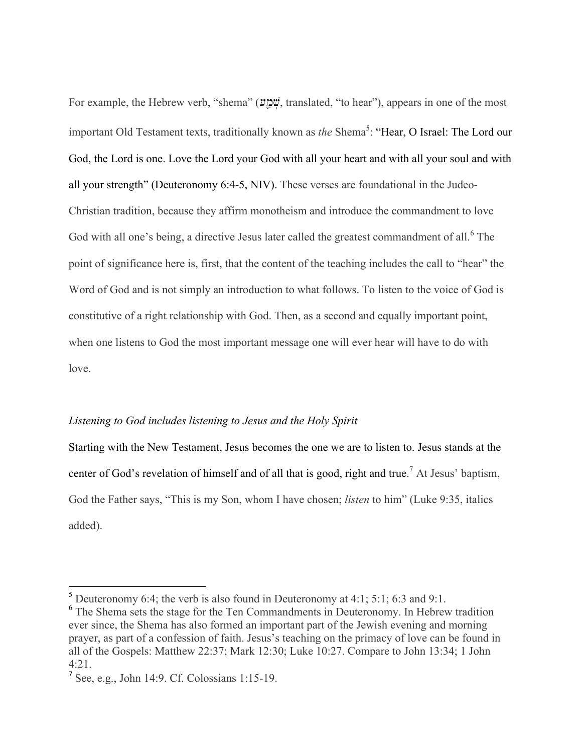For example, the Hebrew verb, "shema" (שְׁמָיָט, translated, "to hear"), appears in one of the most important Old Testament texts, traditionally known as *the* Shema<sup>5</sup>: "Hear, O Israel: The Lord our God, the Lord is one. Love the Lord your God with all your heart and with all your soul and with all your strength" (Deuteronomy 6:4-5, NIV). These verses are foundational in the Judeo-Christian tradition, because they affirm monotheism and introduce the commandment to love God with all one's being, a directive Jesus later called the greatest commandment of all.<sup>6</sup> The point of significance here is, first, that the content of the teaching includes the call to "hear" the Word of God and is not simply an introduction to what follows. To listen to the voice of God is constitutive of a right relationship with God. Then, as a second and equally important point, when one listens to God the most important message one will ever hear will have to do with love.

# *Listening to God includes listening to Jesus and the Holy Spirit*

Starting with the New Testament, Jesus becomes the one we are to listen to. Jesus stands at the center of God's revelation of himself and of all that is good, right and true. <sup>7</sup> At Jesus' baptism, God the Father says, "This is my Son, whom I have chosen; *listen* to him" (Luke 9:35, italics added).

<sup>&</sup>lt;sup>5</sup> Deuteronomy 6:4; the verb is also found in Deuteronomy at 4:1; 5:1; 6:3 and 9:1.

<sup>&</sup>lt;sup>6</sup> The Shema sets the stage for the Ten Commandments in Deuteronomy. In Hebrew tradition ever since, the Shema has also formed an important part of the Jewish evening and morning prayer, as part of a confession of faith. Jesus's teaching on the primacy of love can be found in all of the Gospels: Matthew 22:37; Mark 12:30; Luke 10:27. Compare to John 13:34; 1 John 4:21.

<sup>7</sup> See, e.g., John 14:9. Cf. Colossians 1:15-19.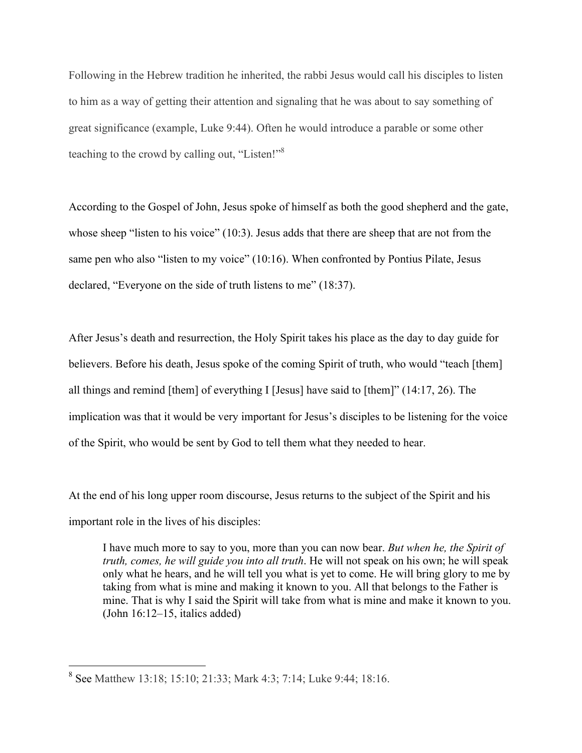Following in the Hebrew tradition he inherited, the rabbi Jesus would call his disciples to listen to him as a way of getting their attention and signaling that he was about to say something of great significance (example, Luke 9:44). Often he would introduce a parable or some other teaching to the crowd by calling out, "Listen!"8

According to the Gospel of John, Jesus spoke of himself as both the good shepherd and the gate, whose sheep "listen to his voice" (10:3). Jesus adds that there are sheep that are not from the same pen who also "listen to my voice" (10:16). When confronted by Pontius Pilate, Jesus declared, "Everyone on the side of truth listens to me" (18:37).

After Jesus's death and resurrection, the Holy Spirit takes his place as the day to day guide for believers. Before his death, Jesus spoke of the coming Spirit of truth, who would "teach [them] all things and remind [them] of everything I [Jesus] have said to [them]" (14:17, 26). The implication was that it would be very important for Jesus's disciples to be listening for the voice of the Spirit, who would be sent by God to tell them what they needed to hear.

At the end of his long upper room discourse, Jesus returns to the subject of the Spirit and his important role in the lives of his disciples:

I have much more to say to you, more than you can now bear. *But when he, the Spirit of truth, comes, he will guide you into all truth*. He will not speak on his own; he will speak only what he hears, and he will tell you what is yet to come. He will bring glory to me by taking from what is mine and making it known to you. All that belongs to the Father is mine. That is why I said the Spirit will take from what is mine and make it known to you. (John 16:12–15, italics added)

 <sup>8</sup> See Matthew 13:18; 15:10; 21:33; Mark 4:3; 7:14; Luke 9:44; 18:16.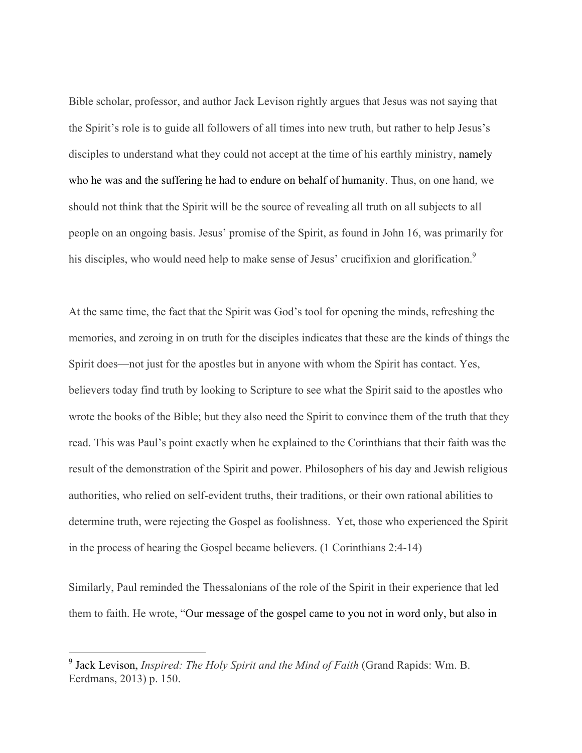Bible scholar, professor, and author Jack Levison rightly argues that Jesus was not saying that the Spirit's role is to guide all followers of all times into new truth, but rather to help Jesus's disciples to understand what they could not accept at the time of his earthly ministry, namely who he was and the suffering he had to endure on behalf of humanity. Thus, on one hand, we should not think that the Spirit will be the source of revealing all truth on all subjects to all people on an ongoing basis. Jesus' promise of the Spirit, as found in John 16, was primarily for his disciples, who would need help to make sense of Jesus' crucifixion and glorification.<sup>9</sup>

At the same time, the fact that the Spirit was God's tool for opening the minds, refreshing the memories, and zeroing in on truth for the disciples indicates that these are the kinds of things the Spirit does—not just for the apostles but in anyone with whom the Spirit has contact. Yes, believers today find truth by looking to Scripture to see what the Spirit said to the apostles who wrote the books of the Bible; but they also need the Spirit to convince them of the truth that they read. This was Paul's point exactly when he explained to the Corinthians that their faith was the result of the demonstration of the Spirit and power. Philosophers of his day and Jewish religious authorities, who relied on self-evident truths, their traditions, or their own rational abilities to determine truth, were rejecting the Gospel as foolishness. Yet, those who experienced the Spirit in the process of hearing the Gospel became believers. (1 Corinthians 2:4-14)

Similarly, Paul reminded the Thessalonians of the role of the Spirit in their experience that led them to faith. He wrote, "Our message of the gospel came to you not in word only, but also in

 <sup>9</sup> Jack Levison, *Inspired: The Holy Spirit and the Mind of Faith* (Grand Rapids: Wm. B. Eerdmans, 2013) p. 150.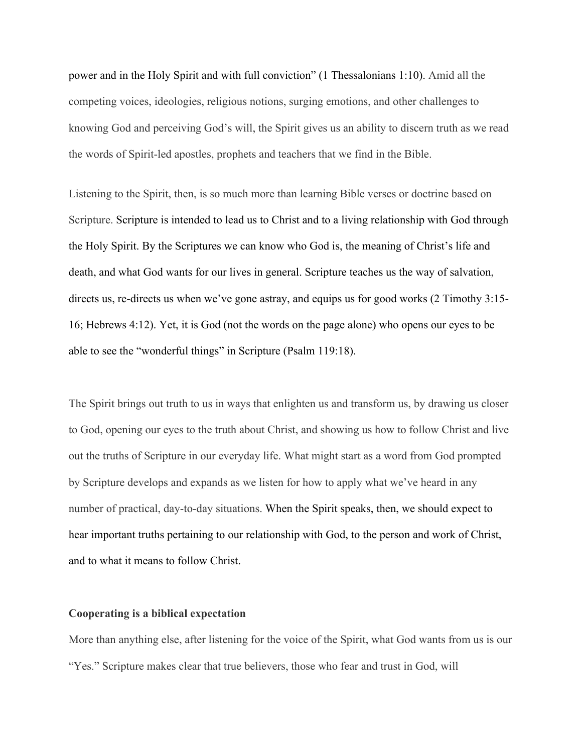power and in the Holy Spirit and with full conviction" (1 Thessalonians 1:10). Amid all the competing voices, ideologies, religious notions, surging emotions, and other challenges to knowing God and perceiving God's will, the Spirit gives us an ability to discern truth as we read the words of Spirit-led apostles, prophets and teachers that we find in the Bible.

Listening to the Spirit, then, is so much more than learning Bible verses or doctrine based on Scripture. Scripture is intended to lead us to Christ and to a living relationship with God through the Holy Spirit. By the Scriptures we can know who God is, the meaning of Christ's life and death, and what God wants for our lives in general. Scripture teaches us the way of salvation, directs us, re-directs us when we've gone astray, and equips us for good works (2 Timothy 3:15- 16; Hebrews 4:12). Yet, it is God (not the words on the page alone) who opens our eyes to be able to see the "wonderful things" in Scripture (Psalm 119:18).

The Spirit brings out truth to us in ways that enlighten us and transform us, by drawing us closer to God, opening our eyes to the truth about Christ, and showing us how to follow Christ and live out the truths of Scripture in our everyday life. What might start as a word from God prompted by Scripture develops and expands as we listen for how to apply what we've heard in any number of practical, day-to-day situations. When the Spirit speaks, then, we should expect to hear important truths pertaining to our relationship with God, to the person and work of Christ, and to what it means to follow Christ.

## **Cooperating is a biblical expectation**

More than anything else, after listening for the voice of the Spirit, what God wants from us is our "Yes." Scripture makes clear that true believers, those who fear and trust in God, will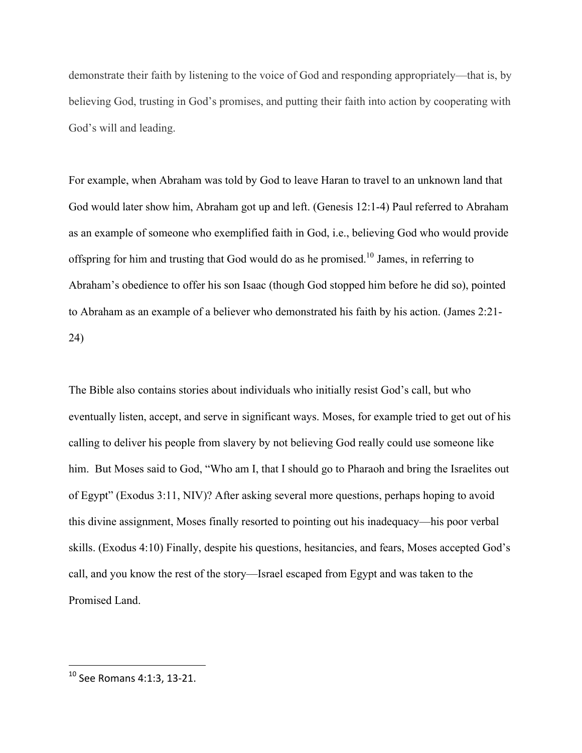demonstrate their faith by listening to the voice of God and responding appropriately—that is, by believing God, trusting in God's promises, and putting their faith into action by cooperating with God's will and leading.

For example, when Abraham was told by God to leave Haran to travel to an unknown land that God would later show him, Abraham got up and left. (Genesis 12:1-4) Paul referred to Abraham as an example of someone who exemplified faith in God, i.e., believing God who would provide offspring for him and trusting that God would do as he promised.<sup>10</sup> James, in referring to Abraham's obedience to offer his son Isaac (though God stopped him before he did so), pointed to Abraham as an example of a believer who demonstrated his faith by his action. (James 2:21- 24)

The Bible also contains stories about individuals who initially resist God's call, but who eventually listen, accept, and serve in significant ways. Moses, for example tried to get out of his calling to deliver his people from slavery by not believing God really could use someone like him. But Moses said to God, "Who am I, that I should go to Pharaoh and bring the Israelites out of Egypt" (Exodus 3:11, NIV)? After asking several more questions, perhaps hoping to avoid this divine assignment, Moses finally resorted to pointing out his inadequacy—his poor verbal skills. (Exodus 4:10) Finally, despite his questions, hesitancies, and fears, Moses accepted God's call, and you know the rest of the story—Israel escaped from Egypt and was taken to the Promised Land.

  $10$  See Romans 4:1:3, 13-21.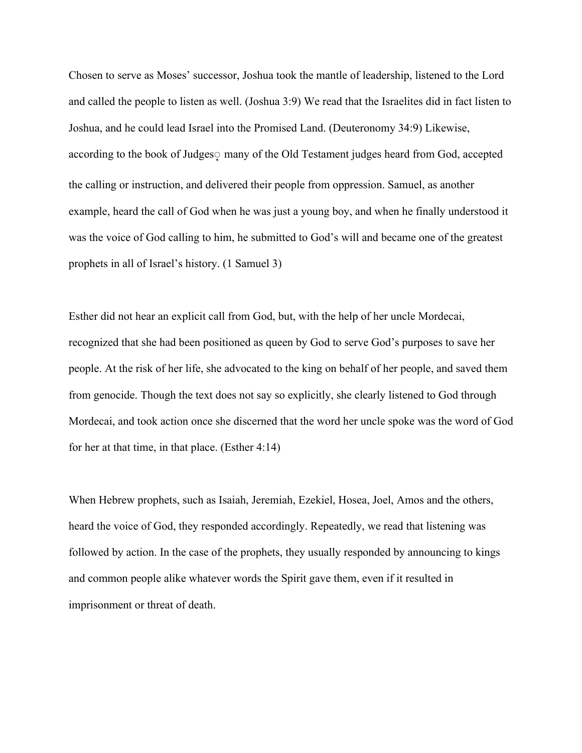Chosen to serve as Moses' successor, Joshua took the mantle of leadership, listened to the Lord and called the people to listen as well. (Joshua 3:9) We read that the Israelites did in fact listen to Joshua, and he could lead Israel into the Promised Land. (Deuteronomy 34:9) Likewise, according to the book of Judges many of the Old Testament judges heard from God, accepted the calling or instruction, and delivered their people from oppression. Samuel, as another example, heard the call of God when he was just a young boy, and when he finally understood it was the voice of God calling to him, he submitted to God's will and became one of the greatest prophets in all of Israel's history. (1 Samuel 3)

Esther did not hear an explicit call from God, but, with the help of her uncle Mordecai, recognized that she had been positioned as queen by God to serve God's purposes to save her people. At the risk of her life, she advocated to the king on behalf of her people, and saved them from genocide. Though the text does not say so explicitly, she clearly listened to God through Mordecai, and took action once she discerned that the word her uncle spoke was the word of God for her at that time, in that place. (Esther 4:14)

When Hebrew prophets, such as Isaiah, Jeremiah, Ezekiel, Hosea, Joel, Amos and the others, heard the voice of God, they responded accordingly. Repeatedly, we read that listening was followed by action. In the case of the prophets, they usually responded by announcing to kings and common people alike whatever words the Spirit gave them, even if it resulted in imprisonment or threat of death.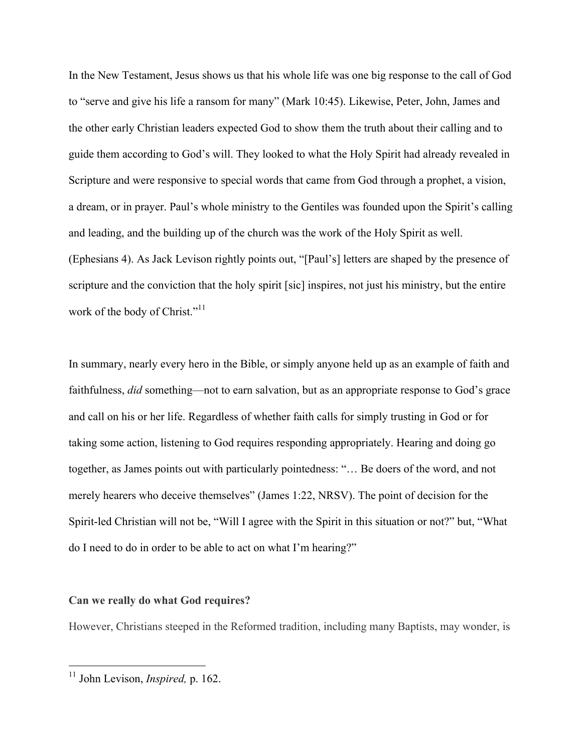In the New Testament, Jesus shows us that his whole life was one big response to the call of God to "serve and give his life a ransom for many" (Mark 10:45). Likewise, Peter, John, James and the other early Christian leaders expected God to show them the truth about their calling and to guide them according to God's will. They looked to what the Holy Spirit had already revealed in Scripture and were responsive to special words that came from God through a prophet, a vision, a dream, or in prayer. Paul's whole ministry to the Gentiles was founded upon the Spirit's calling and leading, and the building up of the church was the work of the Holy Spirit as well. (Ephesians 4). As Jack Levison rightly points out, "[Paul's] letters are shaped by the presence of scripture and the conviction that the holy spirit [sic] inspires, not just his ministry, but the entire work of the body of Christ."<sup>11</sup>

In summary, nearly every hero in the Bible, or simply anyone held up as an example of faith and faithfulness, *did* something—not to earn salvation, but as an appropriate response to God's grace and call on his or her life. Regardless of whether faith calls for simply trusting in God or for taking some action, listening to God requires responding appropriately. Hearing and doing go together, as James points out with particularly pointedness: "… Be doers of the word, and not merely hearers who deceive themselves" (James 1:22, NRSV). The point of decision for the Spirit-led Christian will not be, "Will I agree with the Spirit in this situation or not?" but, "What do I need to do in order to be able to act on what I'm hearing?"

## **Can we really do what God requires?**

However, Christians steeped in the Reformed tradition, including many Baptists, may wonder, is

 <sup>11</sup> John Levison, *Inspired,* p. 162.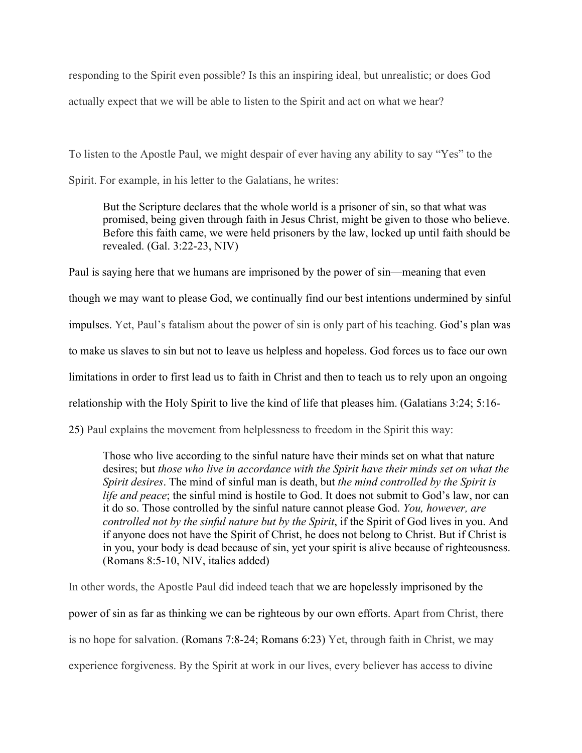responding to the Spirit even possible? Is this an inspiring ideal, but unrealistic; or does God actually expect that we will be able to listen to the Spirit and act on what we hear?

To listen to the Apostle Paul, we might despair of ever having any ability to say "Yes" to the Spirit. For example, in his letter to the Galatians, he writes:

But the Scripture declares that the whole world is a prisoner of sin, so that what was promised, being given through faith in Jesus Christ, might be given to those who believe. Before this faith came, we were held prisoners by the law, locked up until faith should be revealed. (Gal. 3:22-23, NIV)

Paul is saying here that we humans are imprisoned by the power of sin—meaning that even though we may want to please God, we continually find our best intentions undermined by sinful impulses. Yet, Paul's fatalism about the power of sin is only part of his teaching. God's plan was to make us slaves to sin but not to leave us helpless and hopeless. God forces us to face our own limitations in order to first lead us to faith in Christ and then to teach us to rely upon an ongoing relationship with the Holy Spirit to live the kind of life that pleases him. (Galatians 3:24; 5:16-

25) Paul explains the movement from helplessness to freedom in the Spirit this way:

Those who live according to the sinful nature have their minds set on what that nature desires; but *those who live in accordance with the Spirit have their minds set on what the Spirit desires*. The mind of sinful man is death, but *the mind controlled by the Spirit is life and peace*; the sinful mind is hostile to God. It does not submit to God's law, nor can it do so. Those controlled by the sinful nature cannot please God. *You, however, are controlled not by the sinful nature but by the Spirit*, if the Spirit of God lives in you. And if anyone does not have the Spirit of Christ, he does not belong to Christ. But if Christ is in you, your body is dead because of sin, yet your spirit is alive because of righteousness. (Romans 8:5-10, NIV, italics added)

In other words, the Apostle Paul did indeed teach that we are hopelessly imprisoned by the power of sin as far as thinking we can be righteous by our own efforts. Apart from Christ, there is no hope for salvation. (Romans 7:8-24; Romans 6:23) Yet, through faith in Christ, we may experience forgiveness. By the Spirit at work in our lives, every believer has access to divine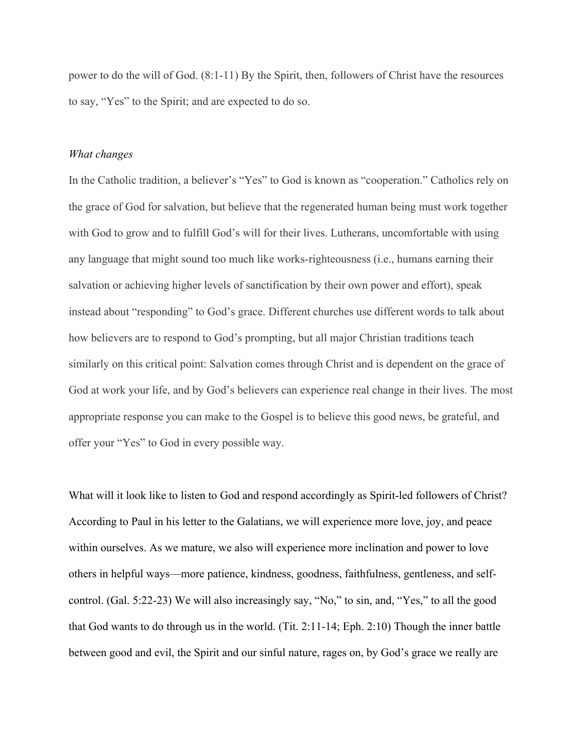power to do the will of God. (8:1-11) By the Spirit, then, followers of Christ have the resources to say, "Yes" to the Spirit; and are expected to do so.

#### *What changes*

In the Catholic tradition, a believer's "Yes" to God is known as "cooperation." Catholics rely on the grace of God for salvation, but believe that the regenerated human being must work together with God to grow and to fulfill God's will for their lives. Lutherans, uncomfortable with using any language that might sound too much like works-righteousness (i.e., humans earning their salvation or achieving higher levels of sanctification by their own power and effort), speak instead about "responding" to God's grace. Different churches use different words to talk about how believers are to respond to God's prompting, but all major Christian traditions teach similarly on this critical point: Salvation comes through Christ and is dependent on the grace of God at work your life, and by God's believers can experience real change in their lives. The most appropriate response you can make to the Gospel is to believe this good news, be grateful, and offer your "Yes" to God in every possible way.

What will it look like to listen to God and respond accordingly as Spirit-led followers of Christ? According to Paul in his letter to the Galatians, we will experience more love, joy, and peace within ourselves. As we mature, we also will experience more inclination and power to love others in helpful ways—more patience, kindness, goodness, faithfulness, gentleness, and selfcontrol. (Gal. 5:22-23) We will also increasingly say, "No," to sin, and, "Yes," to all the good that God wants to do through us in the world. (Tit. 2:11-14; Eph. 2:10) Though the inner battle between good and evil, the Spirit and our sinful nature, rages on, by God's grace we really are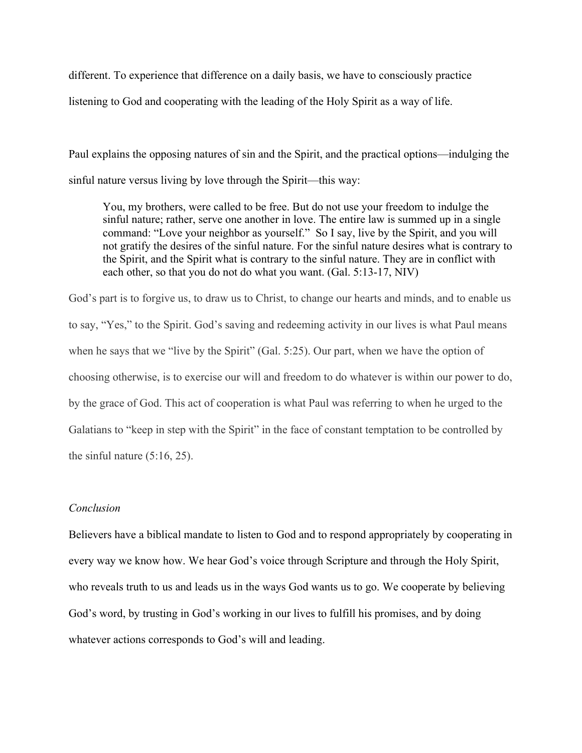different. To experience that difference on a daily basis, we have to consciously practice

listening to God and cooperating with the leading of the Holy Spirit as a way of life.

Paul explains the opposing natures of sin and the Spirit, and the practical options—indulging the sinful nature versus living by love through the Spirit—this way:

You, my brothers, were called to be free. But do not use your freedom to indulge the sinful nature; rather, serve one another in love. The entire law is summed up in a single command: "Love your neighbor as yourself." So I say, live by the Spirit, and you will not gratify the desires of the sinful nature. For the sinful nature desires what is contrary to the Spirit, and the Spirit what is contrary to the sinful nature. They are in conflict with each other, so that you do not do what you want. (Gal. 5:13-17, NIV)

God's part is to forgive us, to draw us to Christ, to change our hearts and minds, and to enable us to say, "Yes," to the Spirit. God's saving and redeeming activity in our lives is what Paul means when he says that we "live by the Spirit" (Gal. 5:25). Our part, when we have the option of choosing otherwise, is to exercise our will and freedom to do whatever is within our power to do, by the grace of God. This act of cooperation is what Paul was referring to when he urged to the Galatians to "keep in step with the Spirit" in the face of constant temptation to be controlled by the sinful nature (5:16, 25).

# *Conclusion*

Believers have a biblical mandate to listen to God and to respond appropriately by cooperating in every way we know how. We hear God's voice through Scripture and through the Holy Spirit, who reveals truth to us and leads us in the ways God wants us to go. We cooperate by believing God's word, by trusting in God's working in our lives to fulfill his promises, and by doing whatever actions corresponds to God's will and leading.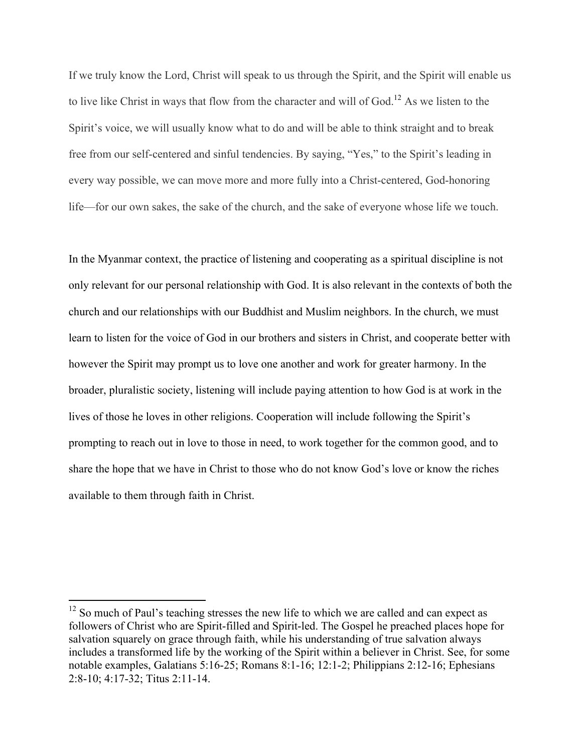If we truly know the Lord, Christ will speak to us through the Spirit, and the Spirit will enable us to live like Christ in ways that flow from the character and will of God.<sup>12</sup> As we listen to the Spirit's voice, we will usually know what to do and will be able to think straight and to break free from our self-centered and sinful tendencies. By saying, "Yes," to the Spirit's leading in every way possible, we can move more and more fully into a Christ-centered, God-honoring life—for our own sakes, the sake of the church, and the sake of everyone whose life we touch.

In the Myanmar context, the practice of listening and cooperating as a spiritual discipline is not only relevant for our personal relationship with God. It is also relevant in the contexts of both the church and our relationships with our Buddhist and Muslim neighbors. In the church, we must learn to listen for the voice of God in our brothers and sisters in Christ, and cooperate better with however the Spirit may prompt us to love one another and work for greater harmony. In the broader, pluralistic society, listening will include paying attention to how God is at work in the lives of those he loves in other religions. Cooperation will include following the Spirit's prompting to reach out in love to those in need, to work together for the common good, and to share the hope that we have in Christ to those who do not know God's love or know the riches available to them through faith in Christ.

<sup>&</sup>lt;sup>12</sup> So much of Paul's teaching stresses the new life to which we are called and can expect as followers of Christ who are Spirit-filled and Spirit-led. The Gospel he preached places hope for salvation squarely on grace through faith, while his understanding of true salvation always includes a transformed life by the working of the Spirit within a believer in Christ. See, for some notable examples, Galatians 5:16-25; Romans 8:1-16; 12:1-2; Philippians 2:12-16; Ephesians 2:8-10; 4:17-32; Titus 2:11-14.